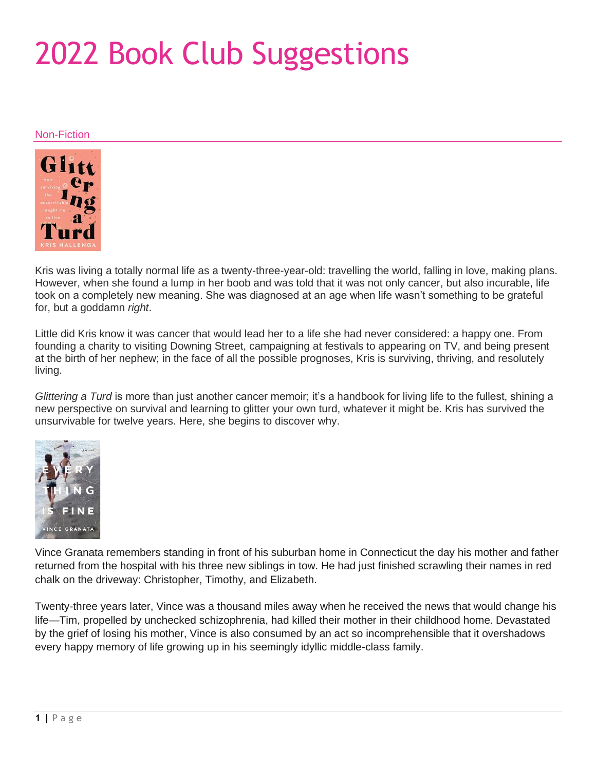## 2022 Book Club Suggestions

## Non-Fiction



Kris was living a totally normal life as a twenty-three-year-old: travelling the world, falling in love, making plans. However, when she found a lump in her boob and was told that it was not only cancer, but also incurable, life took on a completely new meaning. She was diagnosed at an age when life wasn't something to be grateful for, but a goddamn *right*.

Little did Kris know it was cancer that would lead her to a life she had never considered: a happy one. From founding a charity to visiting Downing Street, campaigning at festivals to appearing on TV, and being present at the birth of her nephew; in the face of all the possible prognoses, Kris is surviving, thriving, and resolutely living.

*Glittering a Turd* is more than just another cancer memoir; it's a handbook for living life to the fullest, shining a new perspective on survival and learning to glitter your own turd, whatever it might be. Kris has survived the unsurvivable for twelve years. Here, she begins to discover why.



Vince Granata remembers standing in front of his suburban home in Connecticut the day his mother and father returned from the hospital with his three new siblings in tow. He had just finished scrawling their names in red chalk on the driveway: Christopher, Timothy, and Elizabeth.

Twenty-three years later, Vince was a thousand miles away when he received the news that would change his life—Tim, propelled by unchecked schizophrenia, had killed their mother in their childhood home. Devastated by the grief of losing his mother, Vince is also consumed by an act so incomprehensible that it overshadows every happy memory of life growing up in his seemingly idyllic middle-class family.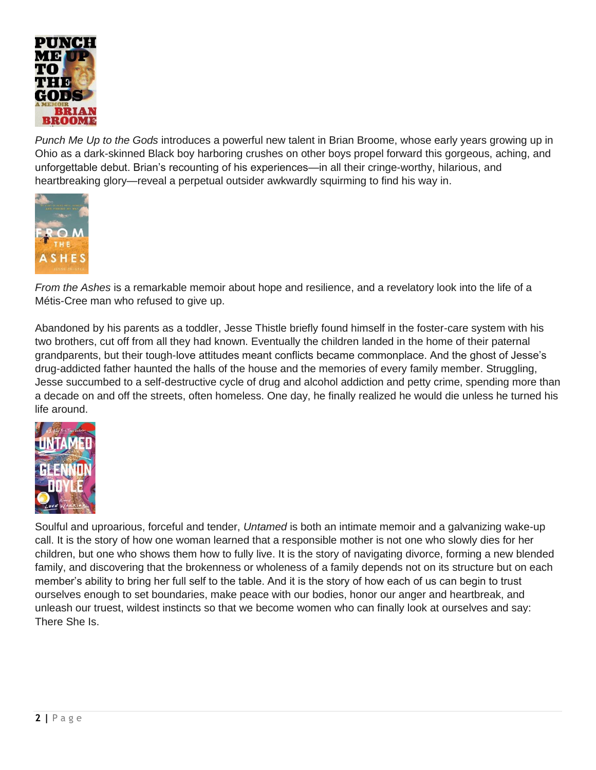

*Punch Me Up to the Gods* introduces a powerful new talent in Brian Broome, whose early years growing up in Ohio as a dark-skinned Black boy harboring crushes on other boys propel forward this gorgeous, aching, and unforgettable debut. Brian's recounting of his experiences—in all their cringe-worthy, hilarious, and heartbreaking glory—reveal a perpetual outsider awkwardly squirming to find his way in.



*From the Ashes* is a remarkable memoir about hope and resilience, and a revelatory look into the life of a Métis-Cree man who refused to give up.

Abandoned by his parents as a toddler, Jesse Thistle briefly found himself in the foster-care system with his two brothers, cut off from all they had known. Eventually the children landed in the home of their paternal grandparents, but their tough-love attitudes meant conflicts became commonplace. And the ghost of Jesse's drug-addicted father haunted the halls of the house and the memories of every family member. Struggling, Jesse succumbed to a self-destructive cycle of drug and alcohol addiction and petty crime, spending more than a decade on and off the streets, often homeless. One day, he finally realized he would die unless he turned his life around.



Soulful and uproarious, forceful and tender, *Untamed* is both an intimate memoir and a galvanizing wake-up call. It is the story of how one woman learned that a responsible mother is not one who slowly dies for her children, but one who shows them how to fully live. It is the story of navigating divorce, forming a new blended family, and discovering that the brokenness or wholeness of a family depends not on its structure but on each member's ability to bring her full self to the table. And it is the story of how each of us can begin to trust ourselves enough to set boundaries, make peace with our bodies, honor our anger and heartbreak, and unleash our truest, wildest instincts so that we become women who can finally look at ourselves and say: There She Is.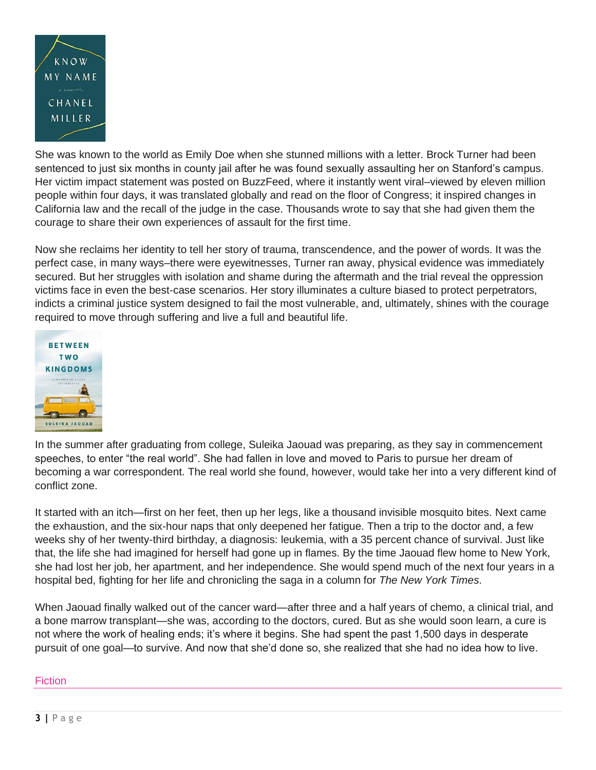

She was known to the world as Emily Doe when she stunned millions with a letter. Brock Turner had been sentenced to just six months in county jail after he was found sexually assaulting her on Stanford's campus. Her victim impact statement was posted on BuzzFeed, where it instantly went viral–viewed by eleven million people within four days, it was translated globally and read on the floor of Congress; it inspired changes in California law and the recall of the judge in the case. Thousands wrote to say that she had given them the courage to share their own experiences of assault for the first time.

Now she reclaims her identity to tell her story of trauma, transcendence, and the power of words. It was the perfect case, in many ways–there were eyewitnesses, Turner ran away, physical evidence was immediately secured. But her struggles with isolation and shame during the aftermath and the trial reveal the oppression victims face in even the best-case scenarios. Her story illuminates a culture biased to protect perpetrators, indicts a criminal justice system designed to fail the most vulnerable, and, ultimately, shines with the courage required to move through suffering and live a full and beautiful life.



In the summer after graduating from college, Suleika Jaouad was preparing, as they say in commencement speeches, to enter "the real world". She had fallen in love and moved to Paris to pursue her dream of becoming a war correspondent. The real world she found, however, would take her into a very different kind of conflict zone.

It started with an itch—first on her feet, then up her legs, like a thousand invisible mosquito bites. Next came the exhaustion, and the six-hour naps that only deepened her fatigue. Then a trip to the doctor and, a few weeks shy of her twenty-third birthday, a diagnosis: leukemia, with a 35 percent chance of survival. Just like that, the life she had imagined for herself had gone up in flames. By the time Jaouad flew home to New York, she had lost her job, her apartment, and her independence. She would spend much of the next four years in a hospital bed, fighting for her life and chronicling the saga in a column for *The New York Times*.

When Jaouad finally walked out of the cancer ward—after three and a half years of chemo, a clinical trial, and a bone marrow transplant—she was, according to the doctors, cured. But as she would soon learn, a cure is not where the work of healing ends; it's where it begins. She had spent the past 1,500 days in desperate pursuit of one goal—to survive. And now that she'd done so, she realized that she had no idea how to live.

## **Fiction**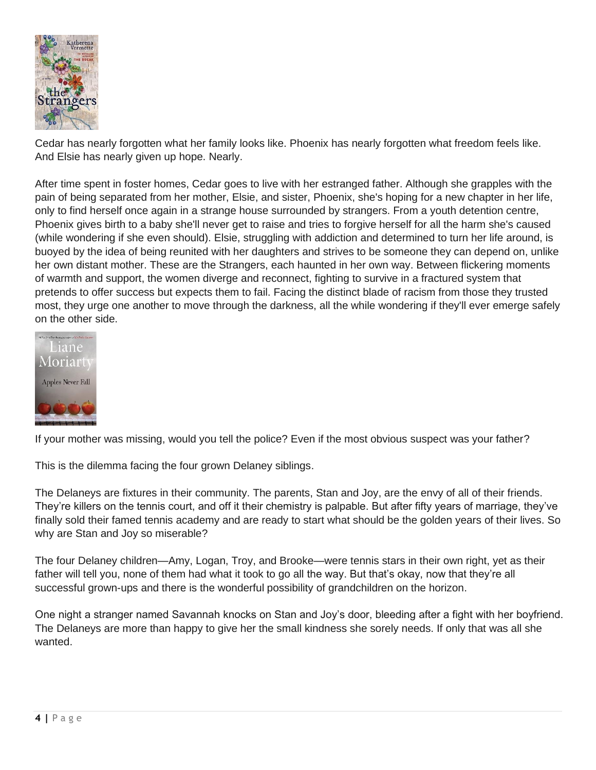

Cedar has nearly forgotten what her family looks like. Phoenix has nearly forgotten what freedom feels like. And Elsie has nearly given up hope. Nearly.

After time spent in foster homes, Cedar goes to live with her estranged father. Although she grapples with the pain of being separated from her mother, Elsie, and sister, Phoenix, she's hoping for a new chapter in her life, only to find herself once again in a strange house surrounded by strangers. From a youth detention centre, Phoenix gives birth to a baby she'll never get to raise and tries to forgive herself for all the harm she's caused (while wondering if she even should). Elsie, struggling with addiction and determined to turn her life around, is buoyed by the idea of being reunited with her daughters and strives to be someone they can depend on, unlike her own distant mother. These are the Strangers, each haunted in her own way. Between flickering moments of warmth and support, the women diverge and reconnect, fighting to survive in a fractured system that pretends to offer success but expects them to fail. Facing the distinct blade of racism from those they trusted most, they urge one another to move through the darkness, all the while wondering if they'll ever emerge safely on the other side.



If your mother was missing, would you tell the police? Even if the most obvious suspect was your father?

This is the dilemma facing the four grown Delaney siblings.

The Delaneys are fixtures in their community. The parents, Stan and Joy, are the envy of all of their friends. They're killers on the tennis court, and off it their chemistry is palpable. But after fifty years of marriage, they've finally sold their famed tennis academy and are ready to start what should be the golden years of their lives. So why are Stan and Joy so miserable?

The four Delaney children—Amy, Logan, Troy, and Brooke—were tennis stars in their own right, yet as their father will tell you, none of them had what it took to go all the way. But that's okay, now that they're all successful grown-ups and there is the wonderful possibility of grandchildren on the horizon.

One night a stranger named Savannah knocks on Stan and Joy's door, bleeding after a fight with her boyfriend. The Delaneys are more than happy to give her the small kindness she sorely needs. If only that was all she wanted.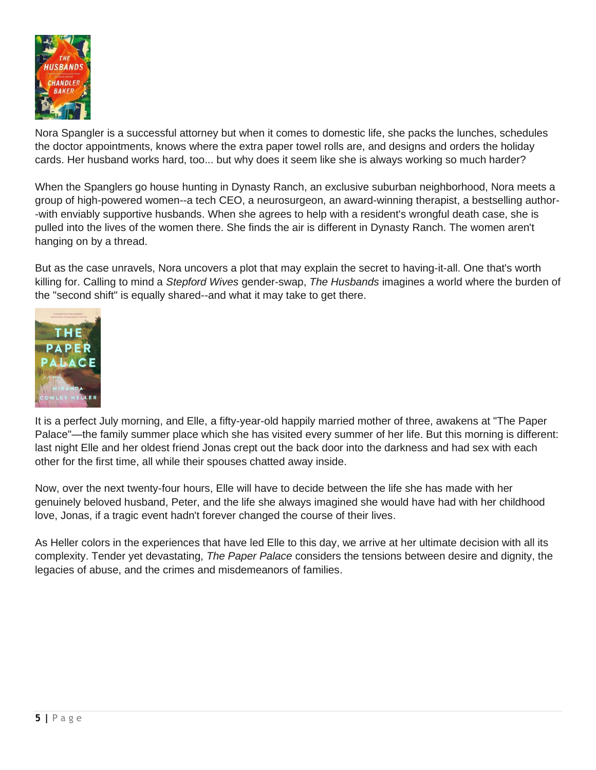

Nora Spangler is a successful attorney but when it comes to domestic life, she packs the lunches, schedules the doctor appointments, knows where the extra paper towel rolls are, and designs and orders the holiday cards. Her husband works hard, too... but why does it seem like she is always working so much harder?

When the Spanglers go house hunting in Dynasty Ranch, an exclusive suburban neighborhood, Nora meets a group of high-powered women--a tech CEO, a neurosurgeon, an award-winning therapist, a bestselling author- -with enviably supportive husbands. When she agrees to help with a resident's wrongful death case, she is pulled into the lives of the women there. She finds the air is different in Dynasty Ranch. The women aren't hanging on by a thread.

But as the case unravels, Nora uncovers a plot that may explain the secret to having-it-all. One that's worth killing for. Calling to mind a *Stepford Wives* gender-swap, *The Husbands* imagines a world where the burden of the "second shift" is equally shared--and what it may take to get there.



It is a perfect July morning, and Elle, a fifty-year-old happily married mother of three, awakens at "The Paper Palace"—the family summer place which she has visited every summer of her life. But this morning is different: last night Elle and her oldest friend Jonas crept out the back door into the darkness and had sex with each other for the first time, all while their spouses chatted away inside.

Now, over the next twenty-four hours, Elle will have to decide between the life she has made with her genuinely beloved husband, Peter, and the life she always imagined she would have had with her childhood love, Jonas, if a tragic event hadn't forever changed the course of their lives.

As Heller colors in the experiences that have led Elle to this day, we arrive at her ultimate decision with all its complexity. Tender yet devastating, *The Paper Palace* considers the tensions between desire and dignity, the legacies of abuse, and the crimes and misdemeanors of families.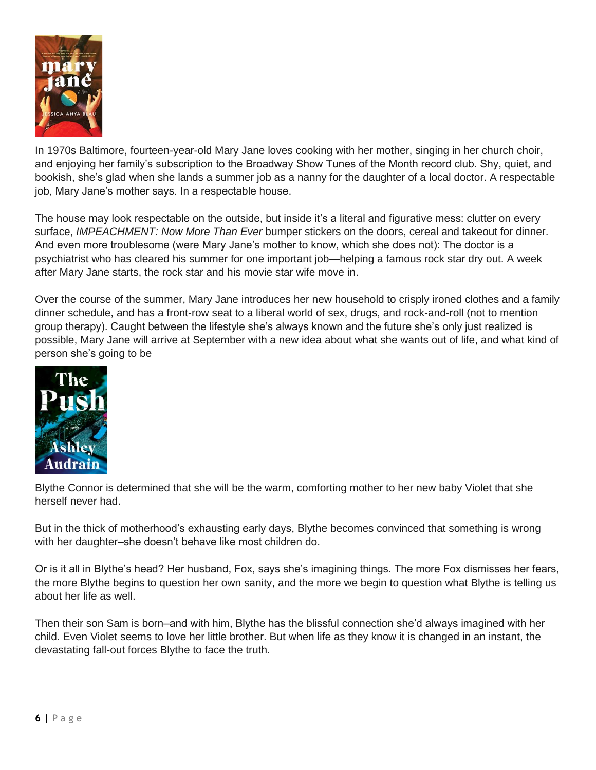

In 1970s Baltimore, fourteen-year-old Mary Jane loves cooking with her mother, singing in her church choir, and enjoying her family's subscription to the Broadway Show Tunes of the Month record club. Shy, quiet, and bookish, she's glad when she lands a summer job as a nanny for the daughter of a local doctor. A respectable job, Mary Jane's mother says. In a respectable house.

The house may look respectable on the outside, but inside it's a literal and figurative mess: clutter on every surface, *IMPEACHMENT: Now More Than Ever* bumper stickers on the doors, cereal and takeout for dinner. And even more troublesome (were Mary Jane's mother to know, which she does not): The doctor is a psychiatrist who has cleared his summer for one important job—helping a famous rock star dry out. A week after Mary Jane starts, the rock star and his movie star wife move in.

Over the course of the summer, Mary Jane introduces her new household to crisply ironed clothes and a family dinner schedule, and has a front-row seat to a liberal world of sex, drugs, and rock-and-roll (not to mention group therapy). Caught between the lifestyle she's always known and the future she's only just realized is possible, Mary Jane will arrive at September with a new idea about what she wants out of life, and what kind of person she's going to be



Blythe Connor is determined that she will be the warm, comforting mother to her new baby Violet that she herself never had.

But in the thick of motherhood's exhausting early days, Blythe becomes convinced that something is wrong with her daughter–she doesn't behave like most children do.

Or is it all in Blythe's head? Her husband, Fox, says she's imagining things. The more Fox dismisses her fears, the more Blythe begins to question her own sanity, and the more we begin to question what Blythe is telling us about her life as well.

Then their son Sam is born–and with him, Blythe has the blissful connection she'd always imagined with her child. Even Violet seems to love her little brother. But when life as they know it is changed in an instant, the devastating fall-out forces Blythe to face the truth.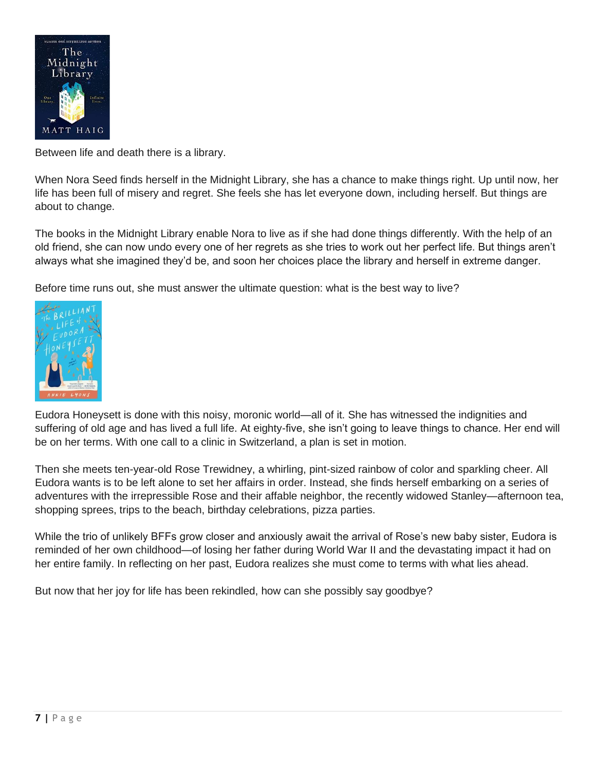

Between life and death there is a library.

When Nora Seed finds herself in the Midnight Library, she has a chance to make things right. Up until now, her life has been full of misery and regret. She feels she has let everyone down, including herself. But things are about to change.

The books in the Midnight Library enable Nora to live as if she had done things differently. With the help of an old friend, she can now undo every one of her regrets as she tries to work out her perfect life. But things aren't always what she imagined they'd be, and soon her choices place the library and herself in extreme danger.

Before time runs out, she must answer the ultimate question: what is the best way to live?



Eudora Honeysett is done with this noisy, moronic world—all of it. She has witnessed the indignities and suffering of old age and has lived a full life. At eighty-five, she isn't going to leave things to chance. Her end will be on her terms. With one call to a clinic in Switzerland, a plan is set in motion.

Then she meets ten-year-old Rose Trewidney, a whirling, pint-sized rainbow of color and sparkling cheer. All Eudora wants is to be left alone to set her affairs in order. Instead, she finds herself embarking on a series of adventures with the irrepressible Rose and their affable neighbor, the recently widowed Stanley—afternoon tea, shopping sprees, trips to the beach, birthday celebrations, pizza parties.

While the trio of unlikely BFFs grow closer and anxiously await the arrival of Rose's new baby sister, Eudora is reminded of her own childhood—of losing her father during World War II and the devastating impact it had on her entire family. In reflecting on her past, Eudora realizes she must come to terms with what lies ahead.

But now that her joy for life has been rekindled, how can she possibly say goodbye?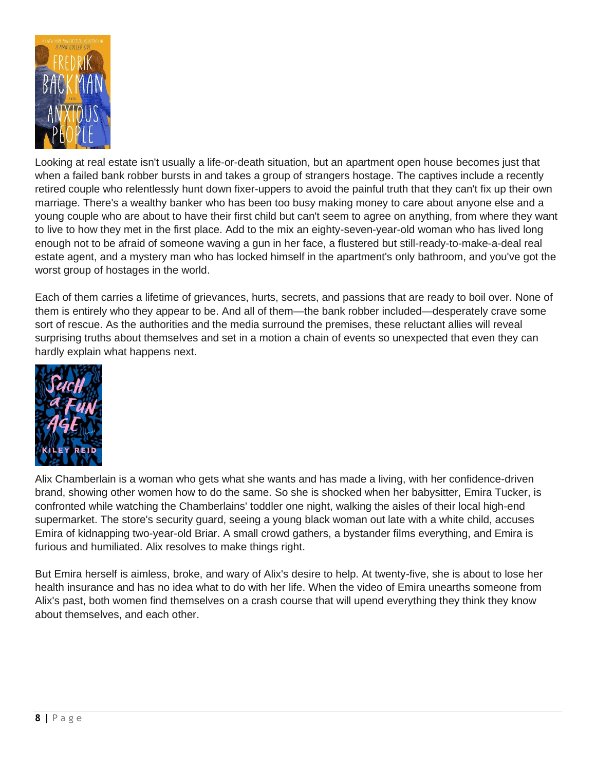

Looking at real estate isn't usually a life-or-death situation, but an apartment open house becomes just that when a failed bank robber bursts in and takes a group of strangers hostage. The captives include a recently retired couple who relentlessly hunt down fixer-uppers to avoid the painful truth that they can't fix up their own marriage. There's a wealthy banker who has been too busy making money to care about anyone else and a young couple who are about to have their first child but can't seem to agree on anything, from where they want to live to how they met in the first place. Add to the mix an eighty-seven-year-old woman who has lived long enough not to be afraid of someone waving a gun in her face, a flustered but still-ready-to-make-a-deal real estate agent, and a mystery man who has locked himself in the apartment's only bathroom, and you've got the worst group of hostages in the world.

Each of them carries a lifetime of grievances, hurts, secrets, and passions that are ready to boil over. None of them is entirely who they appear to be. And all of them—the bank robber included—desperately crave some sort of rescue. As the authorities and the media surround the premises, these reluctant allies will reveal surprising truths about themselves and set in a motion a chain of events so unexpected that even they can hardly explain what happens next.



Alix Chamberlain is a woman who gets what she wants and has made a living, with her confidence-driven brand, showing other women how to do the same. So she is shocked when her babysitter, Emira Tucker, is confronted while watching the Chamberlains' toddler one night, walking the aisles of their local high-end supermarket. The store's security guard, seeing a young black woman out late with a white child, accuses Emira of kidnapping two-year-old Briar. A small crowd gathers, a bystander films everything, and Emira is furious and humiliated. Alix resolves to make things right.

But Emira herself is aimless, broke, and wary of Alix's desire to help. At twenty-five, she is about to lose her health insurance and has no idea what to do with her life. When the video of Emira unearths someone from Alix's past, both women find themselves on a crash course that will upend everything they think they know about themselves, and each other.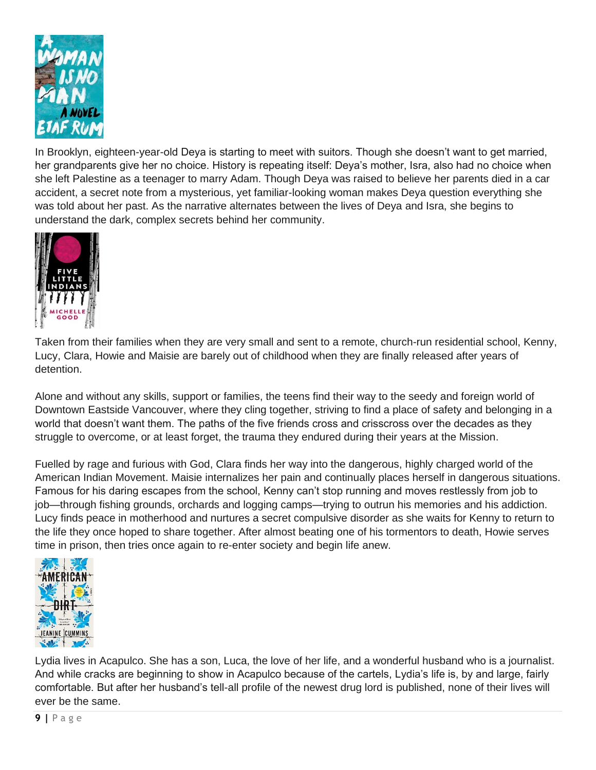

In Brooklyn, eighteen-year-old Deya is starting to meet with suitors. Though she doesn't want to get married, her grandparents give her no choice. History is repeating itself: Deya's mother, Isra, also had no choice when she left Palestine as a teenager to marry Adam. Though Deya was raised to believe her parents died in a car accident, a secret note from a mysterious, yet familiar-looking woman makes Deya question everything she was told about her past. As the narrative alternates between the lives of Deya and Isra, she begins to understand the dark, complex secrets behind her community.



Taken from their families when they are very small and sent to a remote, church-run residential school, Kenny, Lucy, Clara, Howie and Maisie are barely out of childhood when they are finally released after years of detention.

Alone and without any skills, support or families, the teens find their way to the seedy and foreign world of Downtown Eastside Vancouver, where they cling together, striving to find a place of safety and belonging in a world that doesn't want them. The paths of the five friends cross and crisscross over the decades as they struggle to overcome, or at least forget, the trauma they endured during their years at the Mission.

Fuelled by rage and furious with God, Clara finds her way into the dangerous, highly charged world of the American Indian Movement. Maisie internalizes her pain and continually places herself in dangerous situations. Famous for his daring escapes from the school, Kenny can't stop running and moves restlessly from job to job—through fishing grounds, orchards and logging camps—trying to outrun his memories and his addiction. Lucy finds peace in motherhood and nurtures a secret compulsive disorder as she waits for Kenny to return to the life they once hoped to share together. After almost beating one of his tormentors to death, Howie serves time in prison, then tries once again to re-enter society and begin life anew.



Lydia lives in Acapulco. She has a son, Luca, the love of her life, and a wonderful husband who is a journalist. And while cracks are beginning to show in Acapulco because of the cartels, Lydia's life is, by and large, fairly comfortable. But after her husband's tell-all profile of the newest drug lord is published, none of their lives will ever be the same.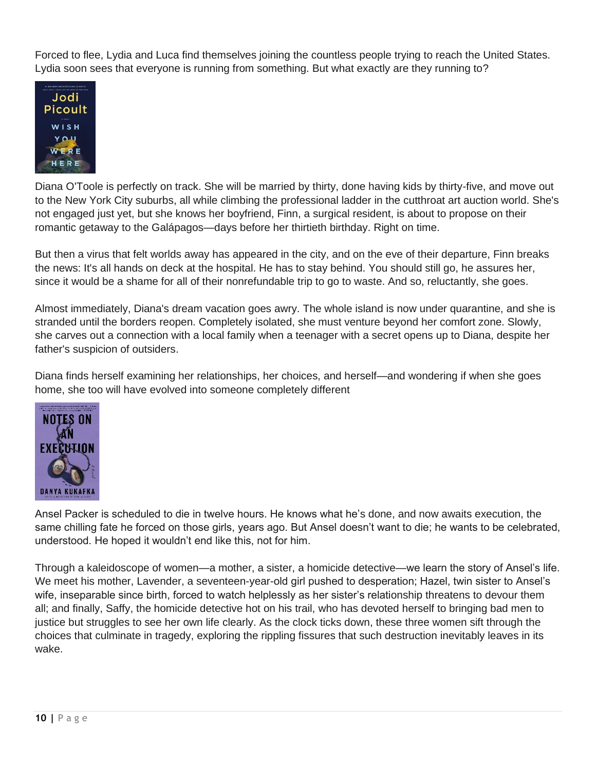Forced to flee, Lydia and Luca find themselves joining the countless people trying to reach the United States. Lydia soon sees that everyone is running from something. But what exactly are they running to?



Diana O'Toole is perfectly on track. She will be married by thirty, done having kids by thirty-five, and move out to the New York City suburbs, all while climbing the professional ladder in the cutthroat art auction world. She's not engaged just yet, but she knows her boyfriend, Finn, a surgical resident, is about to propose on their romantic getaway to the Galápagos—days before her thirtieth birthday. Right on time.

But then a virus that felt worlds away has appeared in the city, and on the eve of their departure, Finn breaks the news: It's all hands on deck at the hospital. He has to stay behind. You should still go, he assures her, since it would be a shame for all of their nonrefundable trip to go to waste. And so, reluctantly, she goes.

Almost immediately, Diana's dream vacation goes awry. The whole island is now under quarantine, and she is stranded until the borders reopen. Completely isolated, she must venture beyond her comfort zone. Slowly, she carves out a connection with a local family when a teenager with a secret opens up to Diana, despite her father's suspicion of outsiders.

Diana finds herself examining her relationships, her choices, and herself—and wondering if when she goes home, she too will have evolved into someone completely different



Ansel Packer is scheduled to die in twelve hours. He knows what he's done, and now awaits execution, the same chilling fate he forced on those girls, years ago. But Ansel doesn't want to die; he wants to be celebrated, understood. He hoped it wouldn't end like this, not for him.

Through a kaleidoscope of women—a mother, a sister, a homicide detective—we learn the story of Ansel's life. We meet his mother, Lavender, a seventeen-year-old girl pushed to desperation; Hazel, twin sister to Ansel's wife, inseparable since birth, forced to watch helplessly as her sister's relationship threatens to devour them all; and finally, Saffy, the homicide detective hot on his trail, who has devoted herself to bringing bad men to justice but struggles to see her own life clearly. As the clock ticks down, these three women sift through the choices that culminate in tragedy, exploring the rippling fissures that such destruction inevitably leaves in its wake.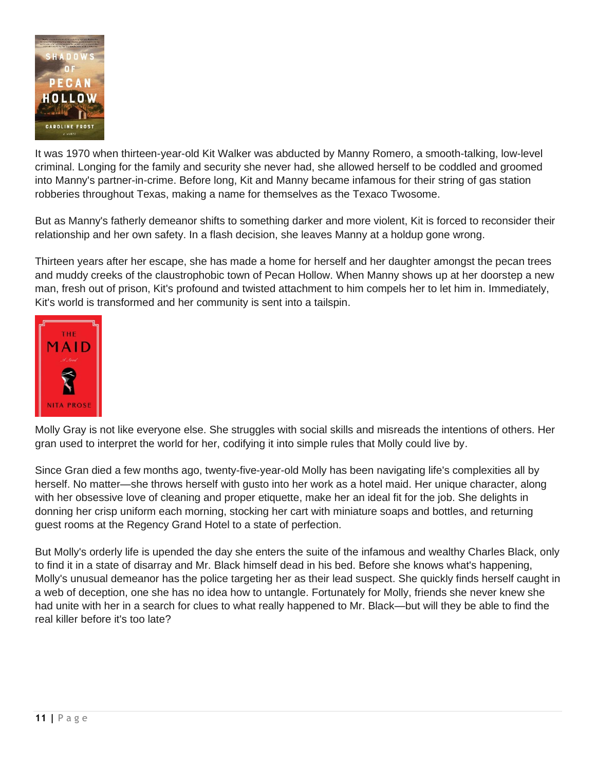

It was 1970 when thirteen-year-old Kit Walker was abducted by Manny Romero, a smooth-talking, low-level criminal. Longing for the family and security she never had, she allowed herself to be coddled and groomed into Manny's partner-in-crime. Before long, Kit and Manny became infamous for their string of gas station robberies throughout Texas, making a name for themselves as the Texaco Twosome.

But as Manny's fatherly demeanor shifts to something darker and more violent, Kit is forced to reconsider their relationship and her own safety. In a flash decision, she leaves Manny at a holdup gone wrong.

Thirteen years after her escape, she has made a home for herself and her daughter amongst the pecan trees and muddy creeks of the claustrophobic town of Pecan Hollow. When Manny shows up at her doorstep a new man, fresh out of prison, Kit's profound and twisted attachment to him compels her to let him in. Immediately, Kit's world is transformed and her community is sent into a tailspin.



Molly Gray is not like everyone else. She struggles with social skills and misreads the intentions of others. Her gran used to interpret the world for her, codifying it into simple rules that Molly could live by.

Since Gran died a few months ago, twenty-five-year-old Molly has been navigating life's complexities all by herself. No matter—she throws herself with gusto into her work as a hotel maid. Her unique character, along with her obsessive love of cleaning and proper etiquette, make her an ideal fit for the job. She delights in donning her crisp uniform each morning, stocking her cart with miniature soaps and bottles, and returning guest rooms at the Regency Grand Hotel to a state of perfection.

But Molly's orderly life is upended the day she enters the suite of the infamous and wealthy Charles Black, only to find it in a state of disarray and Mr. Black himself dead in his bed. Before she knows what's happening, Molly's unusual demeanor has the police targeting her as their lead suspect. She quickly finds herself caught in a web of deception, one she has no idea how to untangle. Fortunately for Molly, friends she never knew she had unite with her in a search for clues to what really happened to Mr. Black—but will they be able to find the real killer before it's too late?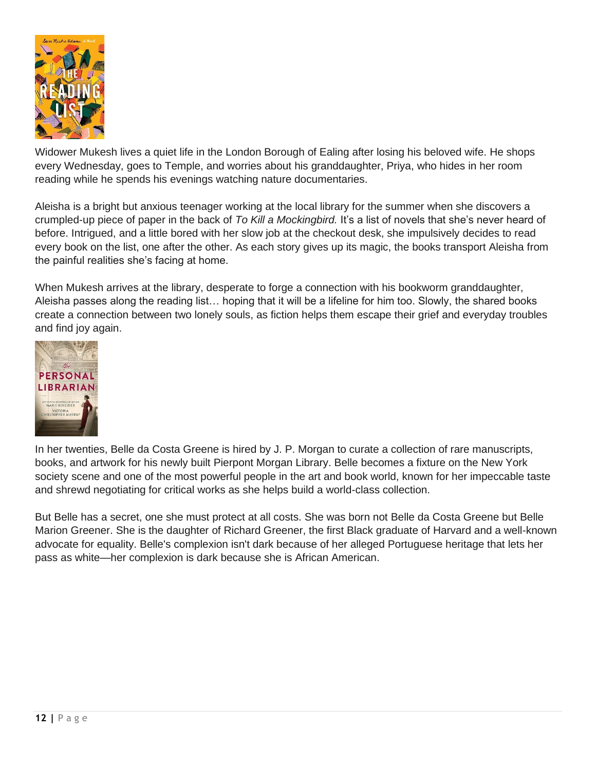

Widower Mukesh lives a quiet life in the London Borough of Ealing after losing his beloved wife. He shops every Wednesday, goes to Temple, and worries about his granddaughter, Priya, who hides in her room reading while he spends his evenings watching nature documentaries.

Aleisha is a bright but anxious teenager working at the local library for the summer when she discovers a crumpled-up piece of paper in the back of *To Kill a Mockingbird.* It's a list of novels that she's never heard of before. Intrigued, and a little bored with her slow job at the checkout desk, she impulsively decides to read every book on the list, one after the other. As each story gives up its magic, the books transport Aleisha from the painful realities she's facing at home.

When Mukesh arrives at the library, desperate to forge a connection with his bookworm granddaughter, Aleisha passes along the reading list… hoping that it will be a lifeline for him too. Slowly, the shared books create a connection between two lonely souls, as fiction helps them escape their grief and everyday troubles and find joy again.



In her twenties, Belle da Costa Greene is hired by J. P. Morgan to curate a collection of rare manuscripts, books, and artwork for his newly built Pierpont Morgan Library. Belle becomes a fixture on the New York society scene and one of the most powerful people in the art and book world, known for her impeccable taste and shrewd negotiating for critical works as she helps build a world-class collection.

But Belle has a secret, one she must protect at all costs. She was born not Belle da Costa Greene but Belle Marion Greener. She is the daughter of Richard Greener, the first Black graduate of Harvard and a well-known advocate for equality. Belle's complexion isn't dark because of her alleged Portuguese heritage that lets her pass as white—her complexion is dark because she is African American.